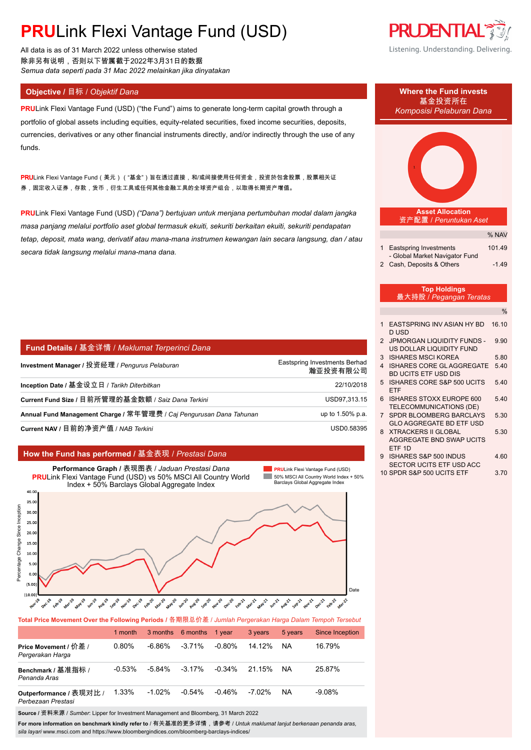All data is as of 31 March 2022 unless otherwise stated 除非另有说明,否则以下皆属截于2022年3月31日的数据 *Semua data seperti pada 31 Mac 2022 melainkan jika dinyatakan*

### **Objective /** 目标 / *Objektif Dana* **Where the Fund invests**

**PRU**Link Flexi Vantage Fund (USD) ("the Fund") aims to generate long-term capital growth through a portfolio of global assets including equities, equity-related securities, fixed income securities, deposits, currencies, derivatives or any other financial instruments directly, and/or indirectly through the use of any funds.

<mark>PRU</mark>Link Flexi Vantage Fund(美元)("基金")旨在透过直接,和/或间接使用任何资金,投资於包含股票,股票相关证 券,固定收入证券,存款,货币,衍生工具或任何其他金融工具的全球资产组合,以取得长期资产增值。

**PRU**Link Flexi Vantage Fund (USD) *("Dana") bertujuan untuk menjana pertumbuhan modal dalam jangka masa panjang melalui portfolio aset global termasuk ekuiti, sekuriti berkaitan ekuiti, sekuriti pendapatan tetap, deposit, mata wang, derivatif atau mana-mana instrumen kewangan lain secara langsung, dan / atau secara tidak langsung melalui mana-mana dana.*

| │ Fund Details / 基金详情 / Maklumat Terperinci Dana                    |                                           |
|---------------------------------------------------------------------|-------------------------------------------|
| Investment Manager / 投资经理 / Pengurus Pelaburan                      | Eastspring Investments Berhad<br>瀚亚投资有限公司 |
| Inception Date / 基金设立日 / Tarikh Diterbitkan                         | 22/10/2018                                |
| Current Fund Size / 目前所管理的基金数额 / Saiz Dana Terkini                  | USD97,313.15                              |
| Annual Fund Management Charge / 常年管理费 / Caj Pengurusan Dana Tahunan | up to 1.50% p.a.                          |
| Current NAV / 目前的净资产值 / NAB Terkini                                 | USD0.58395                                |

#### **How the Fund has performed /** 基金表现 / *Prestasi Dana*



**Total Price Movement Over the Following Periods /** 各期限总价差 / *Jumlah Pergerakan Harga Dalam Tempoh Tersebut*

|                                               | 1 month   |           | 3 months 6 months | 1 year    | 3 years | 5 years | <b>Since Inception</b> |
|-----------------------------------------------|-----------|-----------|-------------------|-----------|---------|---------|------------------------|
| Price Movement / 价差 /<br>Pergerakan Harga     | 0.80%     | -6.86%    | $-3.71%$          | -0.80%    | 14.12%  | ΝA      | 16.79%                 |
| Benchmark / 基准指标 /<br>Penanda Aras            | $-0.53\%$ | $-5.84\%$ | $-3.17\%$         | $-0.34\%$ | 21.15%  | NA      | 25.87%                 |
| Outperformance / 表现对比 /<br>Perbezaan Prestasi | 1.33%     | $-1.02\%$ | $-0.54%$          | -0.46%    | -7.02%  | NA      | $-9.08%$               |

**Source /** 资料来源 / *Sumber*: Lipper for Investment Management and Bloomberg, 31 March 2022

**For more information on benchmark kindly refer to** / 有关基准的更多详情,请参考 / *Untuk maklumat lanjut berkenaan penanda aras, sila layari* www.msci.com and https://www.bloombergindices.com/bloomberg-barclays-indices/





- 8 XTRACKERS II GLOBAL 5.30 AGGREGATE BND SWAP UCITS ETF 1D
- 9 ISHARES S&P 500 INDUS 460 SECTOR UCITS ETF USD ACC
- 10 SPDR S&P 500 UCITS ETF 3.70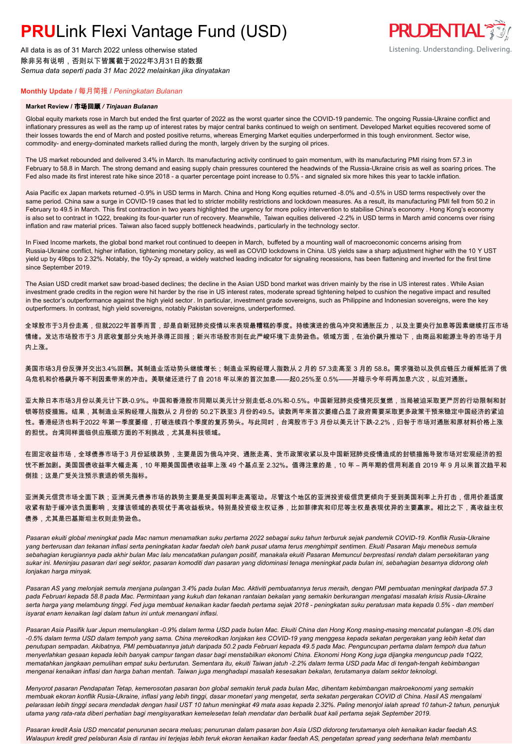All data is as of 31 March 2022 unless otherwise stated 除非另有说明,否则以下皆属截于2022年3月31日的数据 *Semua data seperti pada 31 Mac 2022 melainkan jika dinyatakan*

### **PRUDENTIAL RED** Listening. Understanding. Delivering.

### **Monthly Update /** 每月简报 / *Peningkatan Bulanan*

#### **Market Review /** 市场回顾 */ Tinjauan Bulanan*

Global equity markets rose in March but ended the first quarter of 2022 as the worst quarter since the COVID-19 pandemic. The ongoing Russia-Ukraine conflict and inflationary pressures as well as the ramp up of interest rates by major central banks continued to weigh on sentiment. Developed Market equities recovered some of their losses towards the end of March and posted positive returns, whereas Emerging Market equities underperformed in this tough environment. Sector wise, commodity- and energy-dominated markets rallied during the month, largely driven by the surging oil prices.

The US market rebounded and delivered 3.4% in March. Its manufacturing activity continued to gain momentum, with its manufacturing PMI rising from 57.3 in February to 58.8 in March. The strong demand and easing supply chain pressures countered the headwinds of the Russia-Ukraine crisis as well as soaring prices. The Fed also made its first interest rate hike since 2018 - a quarter percentage point increase to 0.5% - and signaled six more hikes this year to tackle inflation.

Asia Pacific ex Japan markets returned -0.9% in USD terms in March. China and Hong Kong equities returned -8.0% and -0.5% in USD terms respectively over the same period. China saw a surge in COVID-19 cases that led to stricter mobility restrictions and lockdown measures. As a result, its manufacturing PMI fell from 50.2 in February to 49.5 in March. This first contraction in two years highlighted the urgency for more policy intervention to stabilise China's economy . Hong Kong's economy is also set to contract in 1Q22, breaking its four-quarter run of recovery. Meanwhile, Taiwan equities delivered -2.2% in USD terms in March amid concerns over rising inflation and raw material prices. Taiwan also faced supply bottleneck headwinds, particularly in the technology sector.

In Fixed Income markets, the global bond market rout continued to deepen in March, buffeted by a mounting wall of macroeconomic concerns arising from Russia-Ukraine conflict, higher inflation, tightening monetary policy, as well as COVID lockdowns in China. US yields saw a sharp adjustment higher with the 10 Y UST yield up by 49bps to 2.32%. Notably, the 10y-2y spread, a widely watched leading indicator for signaling recessions, has been flattening and inverted for the first time since September 2019.

The Asian USD credit market saw broad-based declines; the decline in the Asian USD bond market was driven mainly by the rise in US interest rates . While Asian investment grade credits in the region were hit harder by the rise in US interest rates, moderate spread tightening helped to cushion the negative impact and resulted in the sector's outperformance against the high yield sector. In particular, investment grade sovereigns, such as Philippine and Indonesian sovereigns, were the key outperformers. In contrast, high yield sovereigns, notably Pakistan sovereigns, underperformed.

全球股市于3月份走高,但就2022年首季而言,却是自新冠肺炎疫情以来表现最糟糕的季度。持续演进的俄乌冲突和通胀压力,以及主要央行加息等因素继续打压市场 情绪。发达市场股市于3 月底收复部分失地并录得正回报;新兴市场股市则在此严峻环境下走势逊色。领域方面,在油价飙升推动下,由商品和能源主导的市场于月 内上涨。

美国市场3月份反弹并交出3.4%回酬。其制造业活动势头继续增长;制造业采购经理人指数从 2 月的 57.3走高至 3 月的 58.8。需求强劲以及供应链压力缓解抵消了俄 乌危机和价格飙升等不利因素带来的冲击。美联储还进行了自 2018 年以来的首次加息——起0.25%至 0.5%——并暗示今年将再加息六次,以应对通胀。

亚太除日本市场3月份以美元计下跌-0.9%。中国和香港股市同期以美元计分别走低-8.0%和-0.5%。中国新冠肺炎疫情死灰复燃,当局被迫采取更严厉的行动限制和封 锁等防疫措施。结果,其制造业采购经理人指数从 2 月份的 50.2下跌至3 月份的49.5。读数两年来首次萎缩凸显了政府需要采取更多政策干预来稳定中国经济的紧迫 性。香港经济也料于2022 年第一季度萎缩,打破连续四个季度的复苏势头。与此同时,台湾股市于3 月份以美元计下跌-2.2%,归咎于市场对通胀和原材料价格上涨 的担忧。台湾同样面临供应瓶颈方面的不利挑战,尤其是科技领域。

在固定收益市场,全球债券市场于3 月份延续跌势,主要是因为俄乌冲突、通胀走高、货币政策收紧以及中国新冠肺炎疫情造成的封锁措施导致市场对宏观经济的担 忧不断加剧。美国国债收益率大幅走高,10 年期美国国债收益率上涨 49 个基点至 2.32%。值得注意的是,10 年 – 两年期的信用利差自 2019 年 9 月以来首次趋平和 倒挂;这是广受关注预示衰退的领先指标。

亚洲美元信贷市场全面下跌;亚洲美元债券市场的跌势主要是受美国利率走高驱动。尽管这个地区的亚洲投资级信贷更倾向于受到美国利率上升打击,信用价差适度 收紧有助于缓冲该负面影响,支撑该领域的表现优于高收益板块。特别是投资级主权证券,比如菲律宾和印尼等主权是表现优异的主要赢家。相比之下,高收益主权 债券,尤其是巴基斯坦主权则走势逊色。

*Pasaran ekuiti global meningkat pada Mac namun menamatkan suku pertama 2022 sebagai suku tahun terburuk sejak pandemik COVID-19. Konflik Rusia-Ukraine yang berterusan dan tekanan inflasi serta peningkatan kadar faedah oleh bank pusat utama terus menghimpit sentimen. Ekuiti Pasaran Maju menebus semula sebahagian kerugiannya pada akhir bulan Mac lalu mencatatkan pulangan positif, manakala ekuiti Pasaran Memuncul berprestasi rendah dalam persekitaran yang sukar ini. Meninjau pasaran dari segi sektor, pasaran komoditi dan pasaran yang didominasi tenaga meningkat pada bulan ini, sebahagian besarnya didorong oleh lonjakan harga minyak.*

*Pasaran AS yang melonjak semula menjana pulangan 3.4% pada bulan Mac. Aktiviti pembuatannya terus meraih, dengan PMI pembuatan meningkat daripada 57.3 pada Februari kepada 58.8 pada Mac. Permintaan yang kukuh dan tekanan rantaian bekalan yang semakin berkurangan mengatasi masalah krisis Rusia-Ukraine serta harga yang melambung tinggi. Fed juga membuat kenaikan kadar faedah pertama sejak 2018 - peningkatan suku peratusan mata kepada 0.5% - dan memberi isyarat enam kenaikan lagi dalam tahun ini untuk menangani inflasi.*

*Pasaran Asia Pasifik luar Jepun memulangkan -0.9% dalam terma USD pada bulan Mac. Ekuiti China dan Hong Kong masing-masing mencatat pulangan -8.0% dan -0.5% dalam terma USD dalam tempoh yang sama. China merekodkan lonjakan kes COVID-19 yang menggesa kepada sekatan pergerakan yang lebih ketat dan penutupan sempadan. Akibatnya, PMI pembuatannya jatuh daripada 50.2 pada Februari kepada 49.5 pada Mac. Penguncupan pertama dalam tempoh dua tahun menyerlahkan gesaan kepada lebih banyak campur tangan dasar bagi menstabilkan ekonomi China. Ekonomi Hong Kong juga dijangka menguncup pada 1Q22, mematahkan jangkaan pemulihan empat suku berturutan. Sementara itu, ekuiti Taiwan jatuh -2.2% dalam terma USD pada Mac di tengah-tengah kebimbangan mengenai kenaikan inflasi dan harga bahan mentah. Taiwan juga menghadapi masalah kesesakan bekalan, terutamanya dalam sektor teknologi.*

*Menyorot pasaran Pendapatan Tetap, kemerosotan pasaran bon global semakin teruk pada bulan Mac, dihentam kebimbangan makroekonomi yang semakin membuak ekoran konflik Rusia-Ukraine, inflasi yang lebih tinggi, dasar monetari yang mengetat, serta sekatan pergerakan COVID di China. Hasil AS mengalami pelarasan lebih tinggi secara mendadak dengan hasil UST 10 tahun meningkat 49 mata asas kepada 2.32%. Paling menonjol ialah spread 10 tahun-2 tahun, penunjuk utama yang rata-rata diberi perhatian bagi mengisyaratkan kemelesetan telah mendatar dan berbalik buat kali pertama sejak September 2019.*

*Pasaran kredit Asia USD mencatat penurunan secara meluas; penurunan dalam pasaran bon Asia USD didorong terutamanya oleh kenaikan kadar faedah AS. Walaupun kredit gred pelaburan Asia di rantau ini terjejas lebih teruk ekoran kenaikan kadar faedah AS, pengetatan spread yang sederhana telah membantu*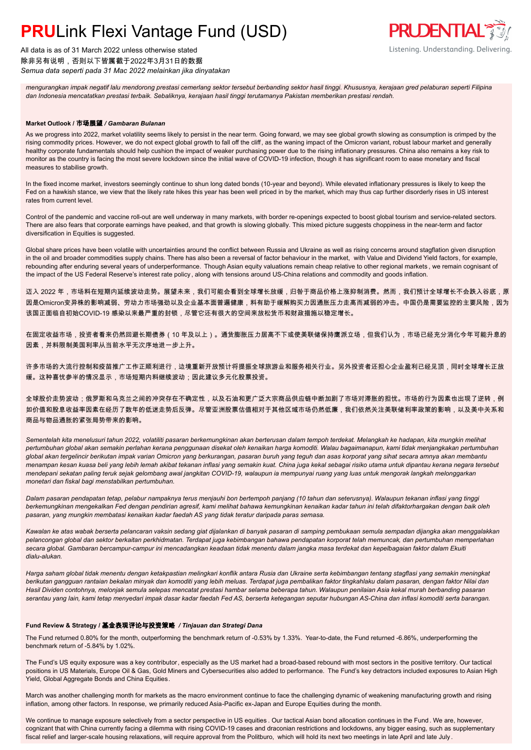All data is as of 31 March 2022 unless otherwise stated 除非另有说明,否则以下皆属截于2022年3月31日的数据 *Semua data seperti pada 31 Mac 2022 melainkan jika dinyatakan*

*mengurangkan impak negatif lalu mendorong prestasi cemerlang sektor tersebut berbanding sektor hasil tinggi. Khususnya, kerajaan gred pelaburan seperti Filipina dan Indonesia mencatatkan prestasi terbaik. Sebaliknya, kerajaan hasil tinggi terutamanya Pakistan memberikan prestasi rendah.*

**PRUDENTIAL RED** 

Listening. Understanding. Delivering.

#### **Market Outlook /** 市场展望 */ Gambaran Bulanan*

As we progress into 2022, market volatility seems likely to persist in the near term. Going forward, we may see global growth slowing as consumption is crimped by the rising commodity prices. However, we do not expect global growth to fall off the cliff, as the waning impact of the Omicron variant, robust labour market and generally healthy corporate fundamentals should help cushion the impact of weaker purchasing power due to the rising inflationary pressures. China also remains a key risk to monitor as the country is facing the most severe lockdown since the initial wave of COVID-19 infection, though it has significant room to ease monetary and fiscal measures to stabilise growth.

In the fixed income market, investors seemingly continue to shun long dated bonds (10-year and beyond). While elevated inflationary pressures is likely to keep the Fed on a hawkish stance, we view that the likely rate hikes this year has been well priced in by the market, which may thus cap further disorderly rises in US interest rates from current level.

Control of the pandemic and vaccine roll-out are well underway in many markets, with border re-openings expected to boost global tourism and service-related sectors. There are also fears that corporate earnings have peaked, and that growth is slowing globally. This mixed picture suggests choppiness in the near-term and factor diversification in Fquities is suggested.

Global share prices have been volatile with uncertainties around the conflict between Russia and Ukraine as well as rising concerns around stagflation given disruption in the oil and broader commodities supply chains. There has also been a reversal of factor behaviour in the market, with Value and Dividend Yield factors, for example, rebounding after enduring several years of underperformance. Though Asian equity valuations remain cheap relative to other regional markets , we remain cognisant of the impact of the US Federal Reserve's interest rate policy , along with tensions around US-China relations and commodity and goods inflation.

迈入 2022 年,市场料在短期内延续波动走势。展望未来,我们可能会看到全球增长放缓,归咎于商品价格上涨抑制消费。然而,我们预计全球增长不会跌入谷底,原 因是Omicron变异株的影响减弱、劳动力市场强劲以及企业基本面普遍健康,料有助于缓解购买力因通胀压力走高而减弱的冲击。中国仍是需要监控的主要风险,因为 该国正面临自初始COVID-19 感染以来最严重的封锁,尽管它还有很大的空间来放松货币和财政措施以稳定增长。

在固定收益市场,投资者看来仍然回避长期债券(10 年及以上)。通货膨胀压力居高不下或使美联储保持鹰派立场,但我们认为,市场已经充分消化今年可能升息的 因素,并料限制美国利率从当前水平无次序地进一步上升。

许多市场的大流行控制和疫苗推广工作正顺利进行,边境重新开放预计将提振全球旅游业和服务相关行业。另外投资者还担心企业盈利已经见顶,同时全球增长正放 缓。这种喜忧参半的情况显示,市场短期内料继续波动;因此建议多元化股票投资。

全球股价走势波动;俄罗斯和乌克兰之间的冲突存在不确定性,以及石油和更广泛大宗商品供应链中断加剧了市场对滞胀的担忧。市场的行为因素也出现了逆转,例 如价值和股息收益率因素在经历了数年的低迷走势后反弹。尽管亚洲股票估值相对于其他区域市场仍然低廉,我们依然关注美联储利率政策的影响,以及美中关系和 商品与物品通胀的紧张局势带来的影响。

*Sementelah kita menelusuri tahun 2022, volatiliti pasaran berkemungkinan akan berterusan dalam tempoh terdekat. Melangkah ke hadapan, kita mungkin melihat pertumbuhan global akan semakin perlahan kerana penggunaan disekat oleh kenaikan harga komoditi. Walau bagaimanapun, kami tidak menjangkakan pertumbuhan global akan tergelincir berikutan impak varian Omicron yang berkurangan, pasaran buruh yang teguh dan asas korporat yang sihat secara amnya akan membantu menampan kesan kuasa beli yang lebih lemah akibat tekanan inflasi yang semakin kuat. China juga kekal sebagai risiko utama untuk dipantau kerana negara tersebut mendepani sekatan paling teruk sejak gelombang awal jangkitan COVID-19, walaupun ia mempunyai ruang yang luas untuk mengorak langkah melonggarkan monetari dan fiskal bagi menstabilkan pertumbuhan.*

*Dalam pasaran pendapatan tetap, pelabur nampaknya terus menjauhi bon bertempoh panjang (10 tahun dan seterusnya). Walaupun tekanan inflasi yang tinggi berkemungkinan mengekalkan Fed dengan pendirian agresif, kami melihat bahawa kemungkinan kenaikan kadar tahun ini telah difaktorhargakan dengan baik oleh pasaran, yang mungkin membatasi kenaikan kadar faedah AS yang tidak teratur daripada paras semasa.*

*Kawalan ke atas wabak berserta pelancaran vaksin sedang giat dijalankan di banyak pasaran di samping pembukaan semula sempadan dijangka akan menggalakkan pelancongan global dan sektor berkaitan perkhidmatan. Terdapat juga kebimbangan bahawa pendapatan korporat telah memuncak, dan pertumbuhan memperlahan secara global. Gambaran bercampur-campur ini mencadangkan keadaan tidak menentu dalam jangka masa terdekat dan kepelbagaian faktor dalam Ekuiti dialu-alukan.*

*Harga saham global tidak menentu dengan ketakpastian melingkari konflik antara Rusia dan Ukraine serta kebimbangan tentang stagflasi yang semakin meningkat berikutan gangguan rantaian bekalan minyak dan komoditi yang lebih meluas. Terdapat juga pembalikan faktor tingkahlaku dalam pasaran, dengan faktor Nilai dan Hasil Dividen contohnya, melonjak semula selepas mencatat prestasi hambar selama beberapa tahun. Walaupun penilaian Asia kekal murah berbanding pasaran serantau yang lain, kami tetap menyedari impak dasar kadar faedah Fed AS, berserta ketegangan seputar hubungan AS-China dan inflasi komoditi serta barangan.*

#### **Fund Review & Strategy /** 基金表现评论与投资策略 */ Tinjauan dan Strategi Dana*

The Fund returned 0.80% for the month, outperforming the benchmark return of -0.53% by 1.33%. Year-to-date, the Fund returned -6.86%, underperforming the benchmark return of -5.84% by 1.02%.

The Fund's US equity exposure was a key contributor, especially as the US market had a broad-based rebound with most sectors in the positive territory. Our tactical positions in US Materials, Europe Oil & Gas, Gold Miners and Cybersecurities also added to performance. The Fund's key detractors included exposures to Asian High Yield, Global Aggregate Bonds and China Equities.

March was another challenging month for markets as the macro environment continue to face the challenging dynamic of weakening manufacturing growth and rising inflation, among other factors. In response, we primarily reduced Asia-Pacific ex-Japan and Europe Equities during the month.

We continue to manage exposure selectively from a sector perspective in US equities . Our tactical Asian bond allocation continues in the Fund . We are, however, cognizant that with China currently facing a dilemma with rising COVID-19 cases and draconian restrictions and lockdowns, any bigger easing, such as supplementary fiscal relief and larger-scale housing relaxations, will require approval from the Politburo, which will hold its next two meetings in late April and late July.